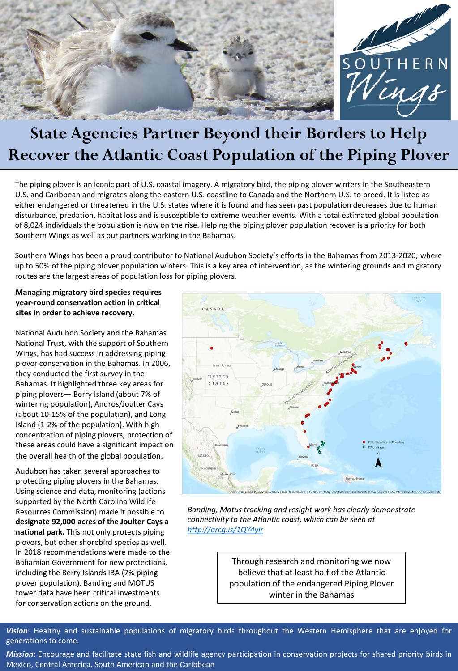

# **State Agencies Partner Beyond their Borders to Help Recover the Atlantic Coast Population of the Piping Plover**

The piping plover is an iconic part of U.S. coastal imagery. A migratory bird, the piping plover winters in the Southeastern U.S. and Caribbean and migrates along the eastern U.S. coastline to Canada and the Northern U.S. to breed. It is listed as either endangered or threatened in the U.S. states where it is found and has seen past population decreases due to human disturbance, predation, habitat loss and is susceptible to extreme weather events. With a total estimated global population of 8,024 individuals the population is now on the rise. Helping the piping plover population recover is a priority for both Southern Wings as well as our partners working in the Bahamas.

Southern Wings has been a proud contributor to National Audubon Society's efforts in the Bahamas from 2013-2020, where up to 50% of the piping plover population winters. This is a key area of intervention, as the wintering grounds and migratory routes are the largest areas of population loss for piping plovers.

#### **Managing migratory bird species requires year-round conservation action in critical sites in order to achieve recovery.**

National Audubon Society and the Bahamas National Trust, with the support of Southern Wings, has had success in addressing piping plover conservation in the Bahamas. In 2006, they conducted the first survey in the Bahamas. It highlighted three key areas for piping plovers— Berry Island (about 7% of wintering population), Andros/Joulter Cays (about 10-15% of the population), and Long Island (1-2% of the population). With high concentration of piping plovers, protection of these areas could have a significant impact on the overall health of the global population.

Audubon has taken several approaches to protecting piping plovers in the Bahamas. Using science and data, monitoring (actions supported by the North Carolina Wildlife Resources Commission) made it possible to **designate 92,000 acres of the Joulter Cays a national park.** This not only protects piping plovers, but other shorebird species as well. In 2018 recommendations were made to the Bahamian Government for new protections, including the Berry Islands IBA (7% piping plover population). Banding and MOTUS tower data have been critical investments for conservation actions on the ground.



*Banding, Motus tracking and resight work has clearly demonstrate connectivity to the Atlantic coast, which can be seen at <http://arcg.is/1QY4yir>*

> Through research and monitoring we now believe that at least half of the Atlantic population of the endangered Piping Plover winter in the Bahamas

*Vision*: Healthy and sustainable populations of migratory birds throughout the Western Hemisphere that are enjoyed for generations to come.

*Mission*: Encourage and facilitate state fish and wildlife agency participation in conservation projects for shared priority birds in Mexico, Central America, South American and the Caribbean